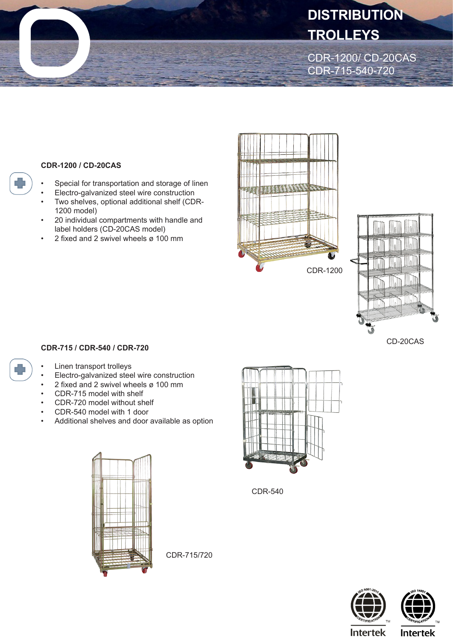## **DISTRIBUTION TROLLEYS**

CDR-1200/ CD-20CAS CDR-715-540-720

## **CDR-1200 / CD-20CAS**

- Special for transportation and storage of linen
- Electro-galvanized steel wire construction
- Two shelves, optional additional shelf (CDR-1200 model)
- 20 individual compartments with handle and label holders (CD-20CAS model)
- 2 fixed and 2 swivel wheels  $\alpha$  100 mm



CDR-1200



CD-20CAS

## **CDR-715 / CDR-540 / CDR-720**

- Linen transport trolleys
- Electro-galvanized steel wire construction
- 2 fixed and 2 swivel wheels ø 100 mm
- CDR-715 model with shelf
- CDR-720 model without shelf
- CDR-540 model with 1 door
- Additional shelves and door available as option



CDR-540



CDR-715/720